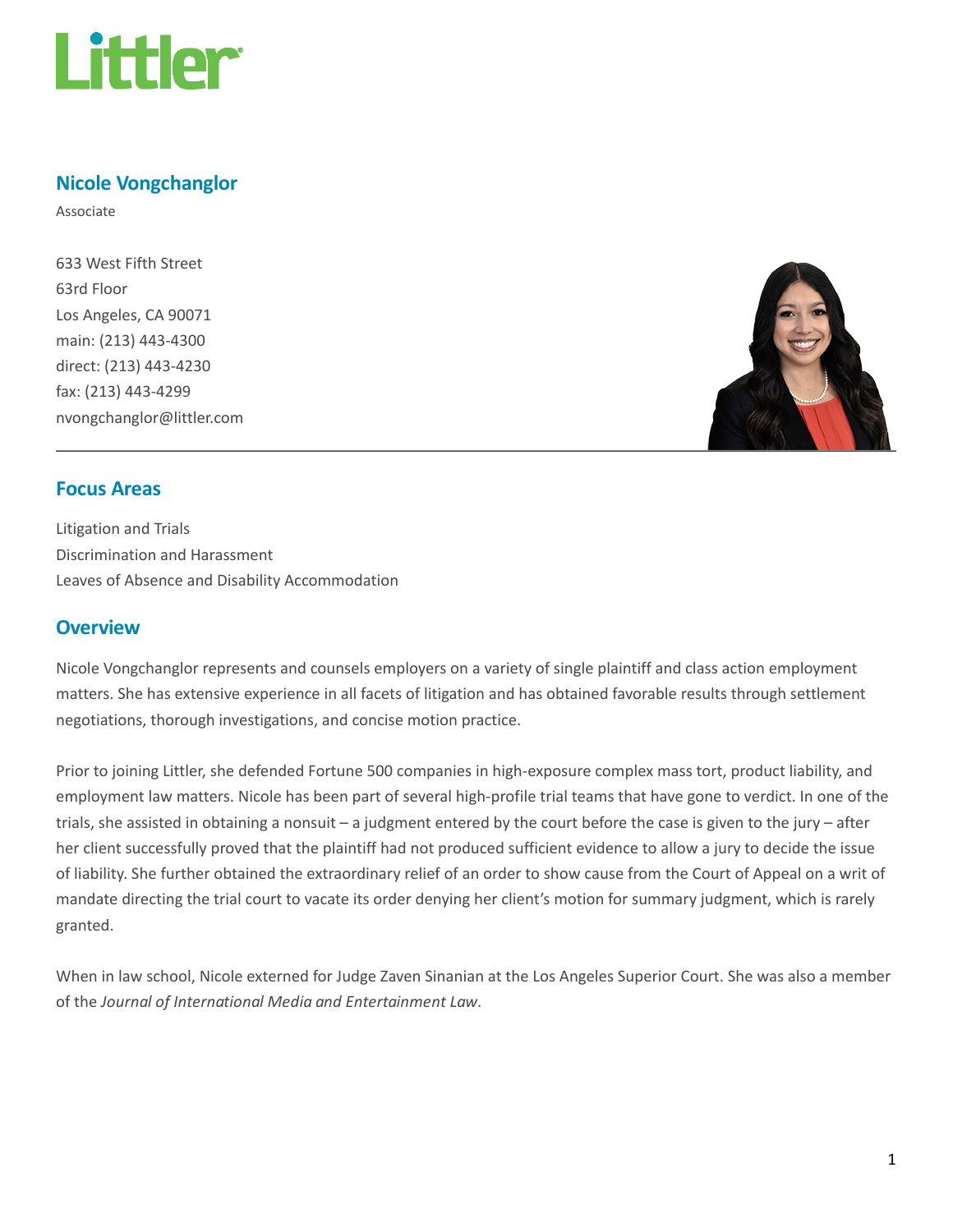

## Nicole Vongchanglor

Associate

633 West Fifth Street 63rd Floor Los Angeles, CA 90071 main: (213) 443-4300 direct: (213) 443-4230 fax: (213) 443-4299 nvongchanglor@littler.com



#### Focus Areas

Litigation and Trials Discrimination and Harassment Leaves of Absence and Disability Accommodation

#### **Overview**

Nicole Vongchanglor represents and counsels employers on a variety of single plaintiff and class action employment matters. She has extensive experience in all facets of litigation and has obtained favorable results through settlement negotiations, thorough investigations, and concise motion practice.

Prior to joining Littler, she defended Fortune 500 companies in high-exposure complex mass tort, product liability, and employment law matters. Nicole has been part of several high-profile trial teams that have gone to verdict. In one of the trials, she assisted in obtaining a nonsuit – a judgment entered by the court before the case is given to the jury – after her client successfully proved that the plaintiff had not produced sufficient evidence to allow a jury to decide the issue of liability. She further obtained the extraordinary relief of an order to show cause from the Court of Appeal on a writ of mandate directing the trial court to vacate its order denying her client's motion for summary judgment, which is rarely granted.

When in law school, Nicole externed for Judge Zaven Sinanian at the Los Angeles Superior Court. She was also a member of the Journal of International Media and Entertainment Law.